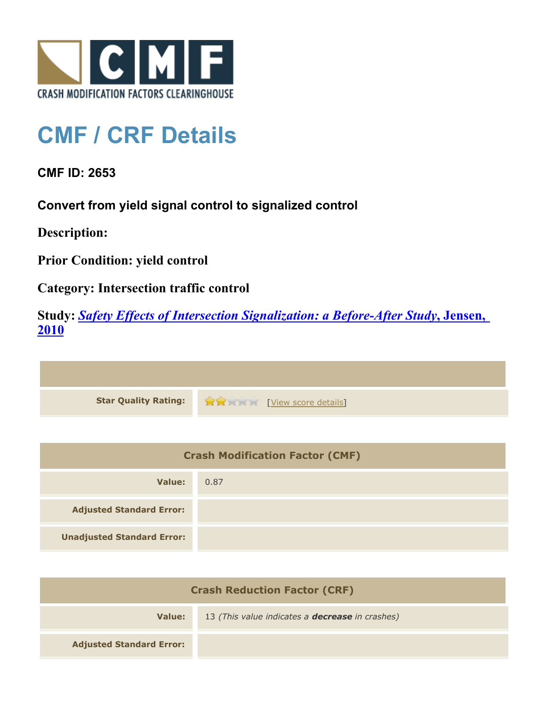

## **CMF / CRF Details**

**CMF ID: 2653**

**Convert from yield signal control to signalized control**

**Description:** 

**Prior Condition: yield control**

**Category: Intersection traffic control**

**Study:** *[Safety Effects of Intersection Signalization: a Before-After Study](http://www.cmfclearinghouse.org/study_detail.cfm?stid=170)***[, Jensen,](http://www.cmfclearinghouse.org/study_detail.cfm?stid=170) [2010](http://www.cmfclearinghouse.org/study_detail.cfm?stid=170)**



| <b>Crash Modification Factor (CMF)</b> |      |
|----------------------------------------|------|
| Value:                                 | 0.87 |
| <b>Adjusted Standard Error:</b>        |      |
| <b>Unadjusted Standard Error:</b>      |      |

| <b>Crash Reduction Factor (CRF)</b> |                                                        |
|-------------------------------------|--------------------------------------------------------|
| Value:                              | 13 (This value indicates a <b>decrease</b> in crashes) |
| <b>Adjusted Standard Error:</b>     |                                                        |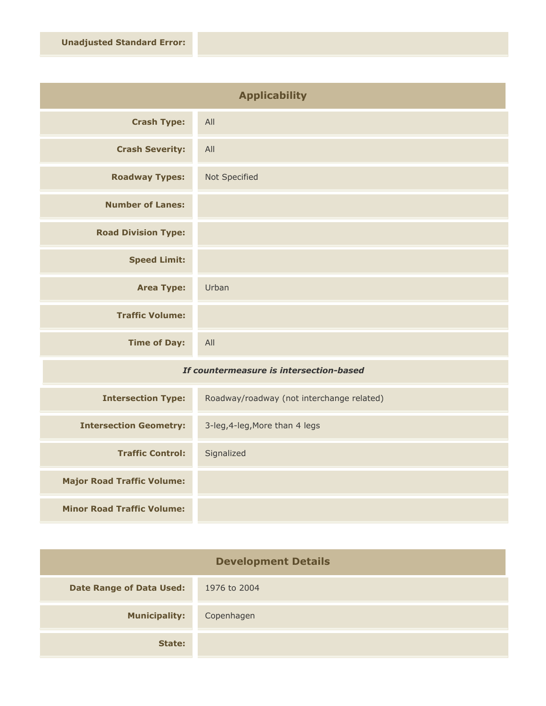| <b>Applicability</b>       |               |
|----------------------------|---------------|
| <b>Crash Type:</b>         | All           |
| <b>Crash Severity:</b>     | All           |
| <b>Roadway Types:</b>      | Not Specified |
| <b>Number of Lanes:</b>    |               |
| <b>Road Division Type:</b> |               |
| <b>Speed Limit:</b>        |               |
| <b>Area Type:</b>          | Urban         |
| <b>Traffic Volume:</b>     |               |
| <b>Time of Day:</b>        | All           |

## *If countermeasure is intersection-based*

| <b>Intersection Type:</b>         | Roadway/roadway (not interchange related) |
|-----------------------------------|-------------------------------------------|
| <b>Intersection Geometry:</b>     | 3-leg, 4-leg, More than 4 legs            |
| <b>Traffic Control:</b>           | Signalized                                |
| <b>Major Road Traffic Volume:</b> |                                           |
| <b>Minor Road Traffic Volume:</b> |                                           |

| <b>Development Details</b>      |              |
|---------------------------------|--------------|
| <b>Date Range of Data Used:</b> | 1976 to 2004 |
| <b>Municipality:</b>            | Copenhagen   |
| State:                          |              |